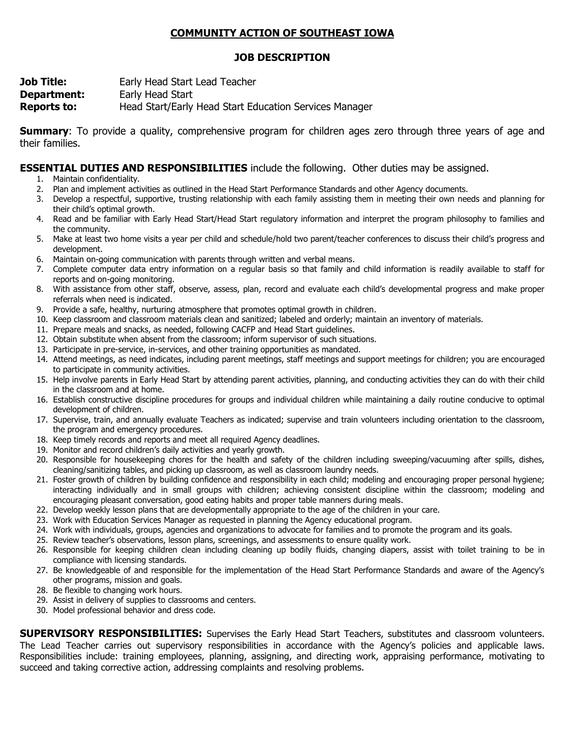## **COMMUNITY ACTION OF SOUTHEAST IOWA**

## **JOB DESCRIPTION**

| <b>Job Title:</b>  | Early Head Start Lead Teacher                          |
|--------------------|--------------------------------------------------------|
| Department:        | Early Head Start                                       |
| <b>Reports to:</b> | Head Start/Early Head Start Education Services Manager |

**Summary:** To provide a quality, comprehensive program for children ages zero through three years of age and their families.

## **ESSENTIAL DUTIES AND RESPONSIBILITIES** include the following. Other duties may be assigned.

- 1. Maintain confidentiality.
- 2. Plan and implement activities as outlined in the Head Start Performance Standards and other Agency documents.
- 3. Develop a respectful, supportive, trusting relationship with each family assisting them in meeting their own needs and planning for their child's optimal growth.
- 4. Read and be familiar with Early Head Start/Head Start regulatory information and interpret the program philosophy to families and the community.
- 5. Make at least two home visits a year per child and schedule/hold two parent/teacher conferences to discuss their child's progress and development.
- 6. Maintain on-going communication with parents through written and verbal means.
- 7. Complete computer data entry information on a regular basis so that family and child information is readily available to staff for reports and on-going monitoring.
- 8. With assistance from other staff, observe, assess, plan, record and evaluate each child's developmental progress and make proper referrals when need is indicated.
- 9. Provide a safe, healthy, nurturing atmosphere that promotes optimal growth in children.
- 10. Keep classroom and classroom materials clean and sanitized; labeled and orderly; maintain an inventory of materials.
- 11. Prepare meals and snacks, as needed, following CACFP and Head Start guidelines.
- 12. Obtain substitute when absent from the classroom; inform supervisor of such situations.
- 13. Participate in pre-service, in-services, and other training opportunities as mandated.
- 14. Attend meetings, as need indicates, including parent meetings, staff meetings and support meetings for children; you are encouraged to participate in community activities.
- 15. Help involve parents in Early Head Start by attending parent activities, planning, and conducting activities they can do with their child in the classroom and at home.
- 16. Establish constructive discipline procedures for groups and individual children while maintaining a daily routine conducive to optimal development of children.
- 17. Supervise, train, and annually evaluate Teachers as indicated; supervise and train volunteers including orientation to the classroom, the program and emergency procedures.
- 18. Keep timely records and reports and meet all required Agency deadlines.
- 19. Monitor and record children's daily activities and yearly growth.
- 20. Responsible for housekeeping chores for the health and safety of the children including sweeping/vacuuming after spills, dishes, cleaning/sanitizing tables, and picking up classroom, as well as classroom laundry needs.
- 21. Foster growth of children by building confidence and responsibility in each child; modeling and encouraging proper personal hygiene; interacting individually and in small groups with children; achieving consistent discipline within the classroom; modeling and encouraging pleasant conversation, good eating habits and proper table manners during meals.
- 22. Develop weekly lesson plans that are developmentally appropriate to the age of the children in your care.
- 23. Work with Education Services Manager as requested in planning the Agency educational program.
- 24. Work with individuals, groups, agencies and organizations to advocate for families and to promote the program and its goals.
- 25. Review teacher's observations, lesson plans, screenings, and assessments to ensure quality work.
- 26. Responsible for keeping children clean including cleaning up bodily fluids, changing diapers, assist with toilet training to be in compliance with licensing standards.
- 27. Be knowledgeable of and responsible for the implementation of the Head Start Performance Standards and aware of the Agency's other programs, mission and goals.
- 28. Be flexible to changing work hours.
- 29. Assist in delivery of supplies to classrooms and centers.
- 30. Model professional behavior and dress code.

**SUPERVISORY RESPONSIBILITIES:** Supervises the Early Head Start Teachers, substitutes and classroom volunteers. The Lead Teacher carries out supervisory responsibilities in accordance with the Agency's policies and applicable laws. Responsibilities include: training employees, planning, assigning, and directing work, appraising performance, motivating to succeed and taking corrective action, addressing complaints and resolving problems.